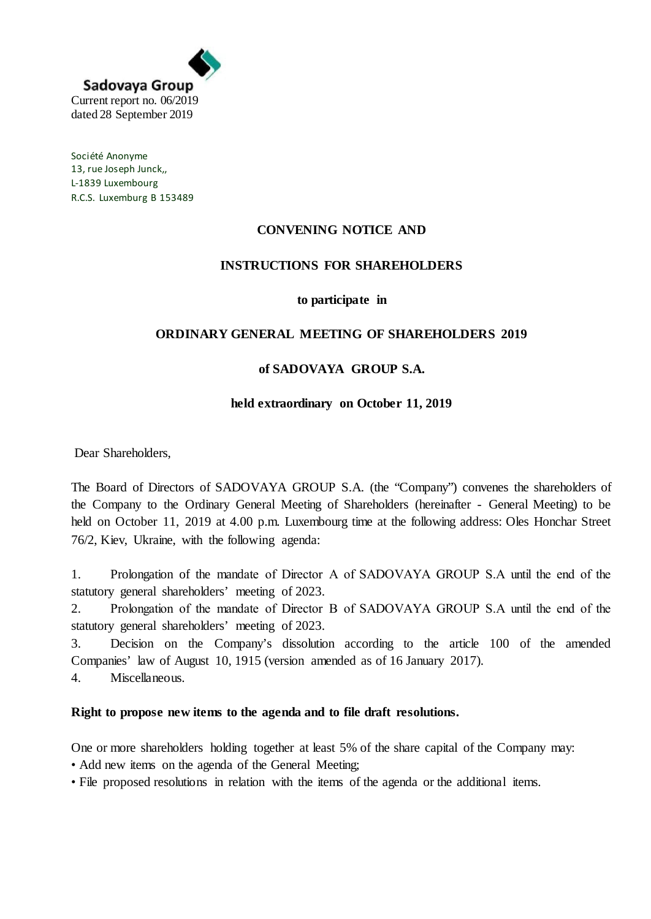

Société Anonyme 13, rue Joseph Junck,, L-1839 Luxembourg R.C.S. Luxemburg B 153489

# **CONVENING NOTICE AND**

## **INSTRUCTIONS FOR SHAREHOLDERS**

#### **to participate in**

## **ORDINARY GENERAL MEETING OF SHAREHOLDERS 2019**

## **of SADOVAYA GROUP S.A.**

#### **held extraordinary on October 11, 2019**

Dear Shareholders,

The Board of Directors of SADOVAYA GROUP S.A. (the "Company") convenes the shareholders of the Company to the Ordinary General Meeting of Shareholders (hereinafter - General Meeting) to be held on October 11, 2019 at 4.00 p.m. Luxembourg time at the following address: Oles Honchar Street 76/2, Kiev, Ukraine, with the following agenda:

1. Prolongation of the mandate of Direсtor A of SADOVAYA GROUP S.A until the end of the statutory general shareholders' meeting of 2023.

2. Prolongation of the mandate of Direсtor B of SADOVAYA GROUP S.A until the end of the statutory general shareholders' meeting of 2023.

3. Decision on the Company's dissolution according to the article 100 of the amended Companies' law of August 10, 1915 (version amended as of 16 January 2017).

4. Miscellaneous.

#### **Right to propose new items to the agenda and to file draft resolutions.**

One or more shareholders holding together at least 5% of the share capital of the Company may: • Add new items on the agenda of the General Meeting;

• File proposed resolutions in relation with the items of the agenda or the additional items.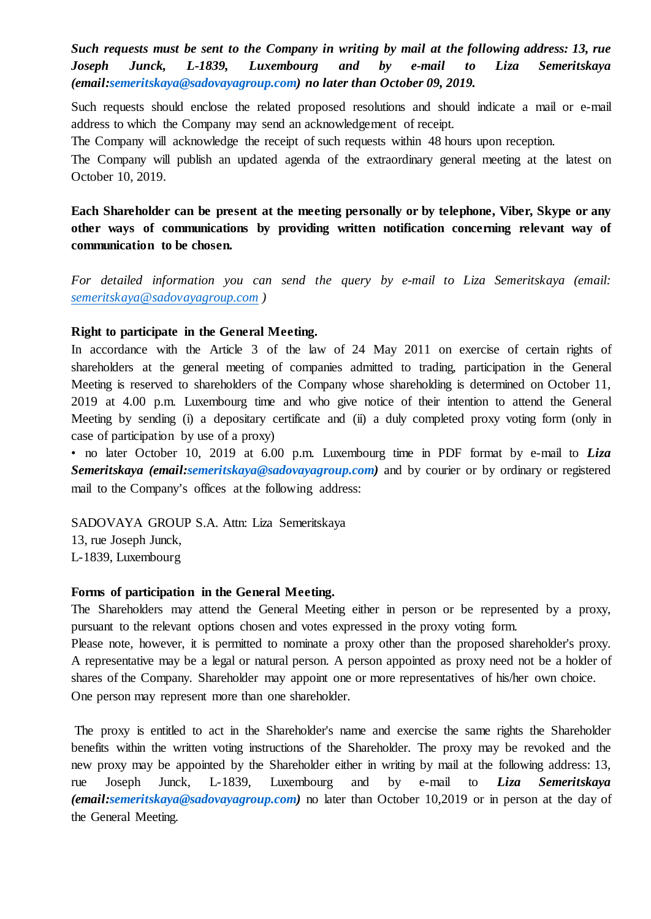*Such requests must be sent to the Company in writing by mail at the following address: 13, rue Joseph Junck, L-1839, Luxembourg and by e-mail to Liza Semeritskaya (email:semeritskaya@sadovayagroup.com) no later than October 09, 2019.*

Such requests should enclose the related proposed resolutions and should indicate a mail or e-mail address to which the Company may send an acknowledgement of receipt.

The Company will acknowledge the receipt of such requests within 48 hours upon reception.

The Company will publish an updated agenda of the extraordinary general meeting at the latest on October 10, 2019.

**Each Shareholder can be present at the meeting personally or by telephone, Viber, Skype or any other ways of communications by providing written notification concerning relevant way of communication to be chosen.**

*For detailed information you can send the query by e-mail to Liza Semeritskaya (email: [semeritskaya@sadovayagroup.com](mailto:semeritskaya@sadovayagroup.com) )*

### **Right to participate in the General Meeting.**

In accordance with the Article 3 of the law of 24 May 2011 on exercise of certain rights of shareholders at the general meeting of companies admitted to trading, participation in the General Meeting is reserved to shareholders of the Company whose shareholding is determined on October 11, 2019 at 4.00 p.m. Luxembourg time and who give notice of their intention to attend the General Meeting by sending (i) a depositary certificate and (ii) a duly completed proxy voting form (only in case of participation by use of a proxy)

• no later October 10, 2019 at 6.00 p.m. Luxembourg time in PDF format by e-mail to *Liza Semeritskaya (email:semeritskaya@sadovayagroup.com)* and by courier or by ordinary or registered mail to the Company's offices at the following address:

SADOVAYA GROUP S.A. Attn: Liza Semeritskaya 13, rue Joseph Junck,

L-1839, Luxembourg

#### **Forms of participation in the General Meeting.**

The Shareholders may attend the General Meeting either in person or be represented by a proxy, pursuant to the relevant options chosen and votes expressed in the proxy voting form.

Please note, however, it is permitted to nominate a proxy other than the proposed shareholder's proxy. A representative may be a legal or natural person. A person appointed as proxy need not be a holder of shares of the Company. Shareholder may appoint one or more representatives of his/her own choice. One person may represent more than one shareholder.

The proxy is entitled to act in the Shareholder's name and exercise the same rights the Shareholder benefits within the written voting instructions of the Shareholder. The proxy may be revoked and the new proxy may be appointed by the Shareholder either in writing by mail at the following address: 13, rue Joseph Junck, L-1839, Luxembourg and by e-mail to *Liza Semeritskaya (email:semeritskaya@sadovayagroup.com)* no later than October 10,2019 or in person at the day of the General Meeting.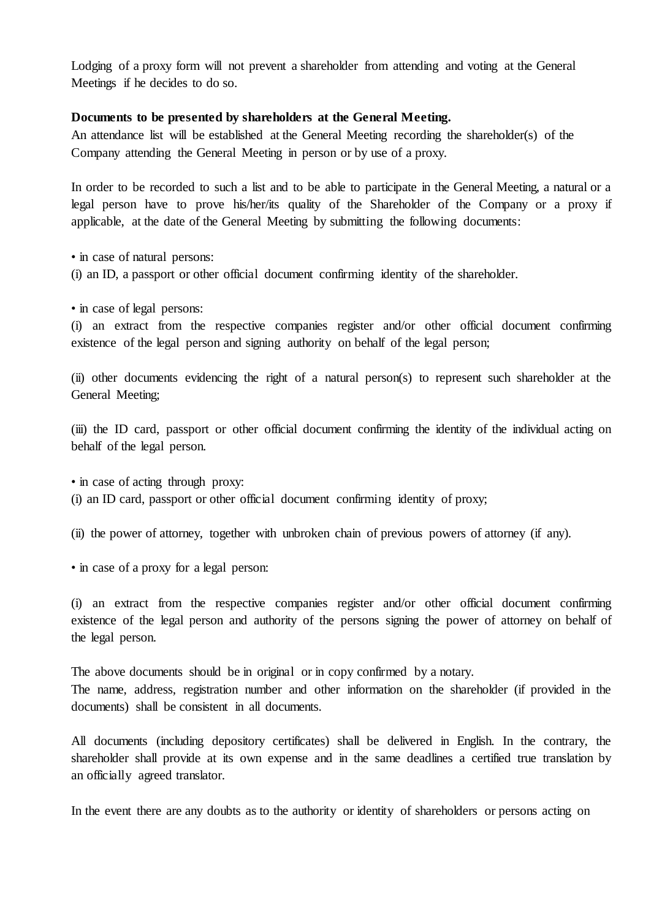Lodging of a proxy form will not prevent a shareholder from attending and voting at the General Meetings if he decides to do so.

#### **Documents to be presented by shareholders at the General Meeting.**

An attendance list will be established at the General Meeting recording the shareholder(s) of the Company attending the General Meeting in person or by use of a proxy.

In order to be recorded to such a list and to be able to participate in the General Meeting, a natural or a legal person have to prove his/her/its quality of the Shareholder of the Company or a proxy if applicable, at the date of the General Meeting by submitting the following documents:

• in case of natural persons:

(i) an ID, a passport or other official document confirming identity of the shareholder.

• in case of legal persons:

(i) an extract from the respective companies register and/or other official document confirming existence of the legal person and signing authority on behalf of the legal person;

(ii) other documents evidencing the right of a natural person(s) to represent such shareholder at the General Meeting;

(iii) the ID card, passport or other official document confirming the identity of the individual acting on behalf of the legal person.

• in case of acting through proxy: (i) an ID card, passport or other official document confirming identity of proxy;

(ii) the power of attorney, together with unbroken chain of previous powers of attorney (if any).

• in case of a proxy for a legal person:

(i) an extract from the respective companies register and/or other official document confirming existence of the legal person and authority of the persons signing the power of attorney on behalf of the legal person.

The above documents should be in original or in copy confirmed by a notary. The name, address, registration number and other information on the shareholder (if provided in the documents) shall be consistent in all documents.

All documents (including depository certificates) shall be delivered in English. In the contrary, the shareholder shall provide at its own expense and in the same deadlines a certified true translation by an officially agreed translator.

In the event there are any doubts as to the authority or identity of shareholders or persons acting on